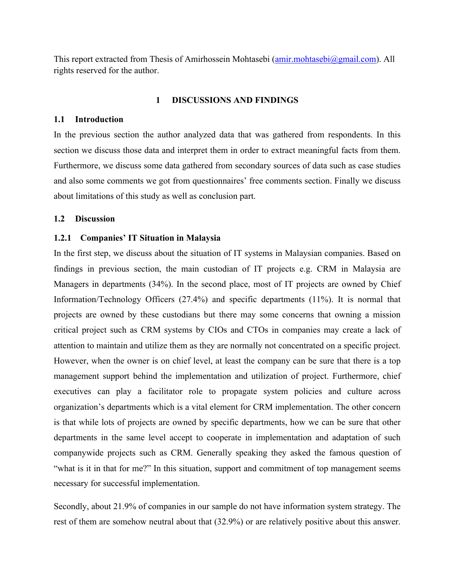This report extracted from Thesis of Amirhossein Mohtasebi (amir.mohtasebi@gmail.com). All rights reserved for the author.

### **1 DISCUSSIONS AND FINDINGS**

#### **1.1 Introduction**

In the previous section the author analyzed data that was gathered from respondents. In this section we discuss those data and interpret them in order to extract meaningful facts from them. Furthermore, we discuss some data gathered from secondary sources of data such as case studies and also some comments we got from questionnaires' free comments section. Finally we discuss about limitations of this study as well as conclusion part.

### **1.2 Discussion**

### **1.2.1 Companies' IT Situation in Malaysia**

In the first step, we discuss about the situation of IT systems in Malaysian companies. Based on findings in previous section, the main custodian of IT projects e.g. CRM in Malaysia are Managers in departments (34%). In the second place, most of IT projects are owned by Chief Information/Technology Officers (27.4%) and specific departments (11%). It is normal that projects are owned by these custodians but there may some concerns that owning a mission critical project such as CRM systems by CIOs and CTOs in companies may create a lack of attention to maintain and utilize them as they are normally not concentrated on a specific project. However, when the owner is on chief level, at least the company can be sure that there is a top management support behind the implementation and utilization of project. Furthermore, chief executives can play a facilitator role to propagate system policies and culture across organization's departments which is a vital element for CRM implementation. The other concern is that while lots of projects are owned by specific departments, how we can be sure that other departments in the same level accept to cooperate in implementation and adaptation of such companywide projects such as CRM. Generally speaking they asked the famous question of "what is it in that for me?" In this situation, support and commitment of top management seems necessary for successful implementation.

Secondly, about 21.9% of companies in our sample do not have information system strategy. The rest of them are somehow neutral about that (32.9%) or are relatively positive about this answer.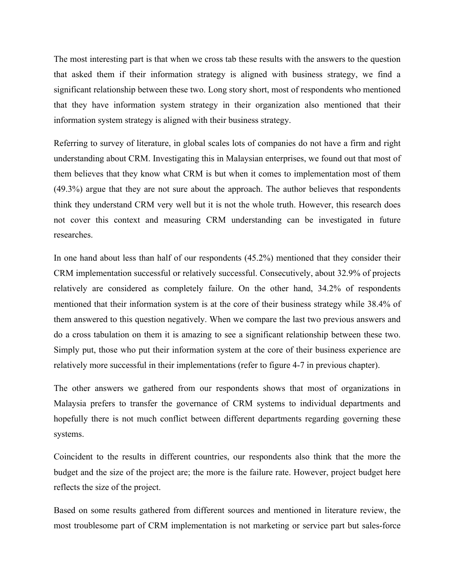The most interesting part is that when we cross tab these results with the answers to the question that asked them if their information strategy is aligned with business strategy, we find a significant relationship between these two. Long story short, most of respondents who mentioned that they have information system strategy in their organization also mentioned that their information system strategy is aligned with their business strategy.

Referring to survey of literature, in global scales lots of companies do not have a firm and right understanding about CRM. Investigating this in Malaysian enterprises, we found out that most of them believes that they know what CRM is but when it comes to implementation most of them (49.3%) argue that they are not sure about the approach. The author believes that respondents think they understand CRM very well but it is not the whole truth. However, this research does not cover this context and measuring CRM understanding can be investigated in future researches.

In one hand about less than half of our respondents (45.2%) mentioned that they consider their CRM implementation successful or relatively successful. Consecutively, about 32.9% of projects relatively are considered as completely failure. On the other hand, 34.2% of respondents mentioned that their information system is at the core of their business strategy while 38.4% of them answered to this question negatively. When we compare the last two previous answers and do a cross tabulation on them it is amazing to see a significant relationship between these two. Simply put, those who put their information system at the core of their business experience are relatively more successful in their implementations (refer to figure 4-7 in previous chapter).

The other answers we gathered from our respondents shows that most of organizations in Malaysia prefers to transfer the governance of CRM systems to individual departments and hopefully there is not much conflict between different departments regarding governing these systems.

Coincident to the results in different countries, our respondents also think that the more the budget and the size of the project are; the more is the failure rate. However, project budget here reflects the size of the project.

Based on some results gathered from different sources and mentioned in literature review, the most troublesome part of CRM implementation is not marketing or service part but sales-force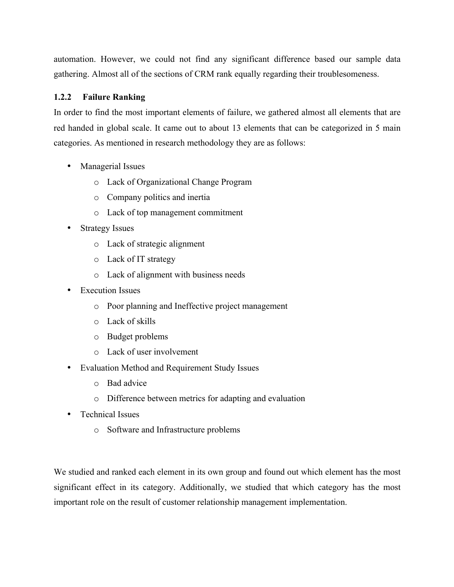automation. However, we could not find any significant difference based our sample data gathering. Almost all of the sections of CRM rank equally regarding their troublesomeness.

# **1.2.2 Failure Ranking**

In order to find the most important elements of failure, we gathered almost all elements that are red handed in global scale. It came out to about 13 elements that can be categorized in 5 main categories. As mentioned in research methodology they are as follows:

- Managerial Issues
	- o Lack of Organizational Change Program
	- o Company politics and inertia
	- o Lack of top management commitment
- Strategy Issues
	- o Lack of strategic alignment
	- o Lack of IT strategy
	- o Lack of alignment with business needs
- Execution Issues
	- o Poor planning and Ineffective project management
	- o Lack of skills
	- o Budget problems
	- o Lack of user involvement
- Evaluation Method and Requirement Study Issues
	- o Bad advice
	- o Difference between metrics for adapting and evaluation
- Technical Issues
	- o Software and Infrastructure problems

We studied and ranked each element in its own group and found out which element has the most significant effect in its category. Additionally, we studied that which category has the most important role on the result of customer relationship management implementation.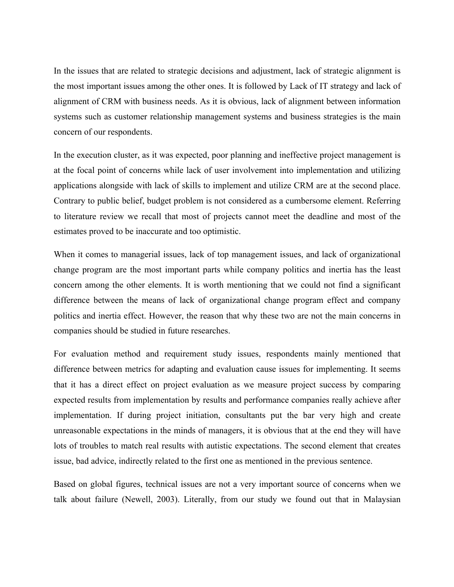In the issues that are related to strategic decisions and adjustment, lack of strategic alignment is the most important issues among the other ones. It is followed by Lack of IT strategy and lack of alignment of CRM with business needs. As it is obvious, lack of alignment between information systems such as customer relationship management systems and business strategies is the main concern of our respondents.

In the execution cluster, as it was expected, poor planning and ineffective project management is at the focal point of concerns while lack of user involvement into implementation and utilizing applications alongside with lack of skills to implement and utilize CRM are at the second place. Contrary to public belief, budget problem is not considered as a cumbersome element. Referring to literature review we recall that most of projects cannot meet the deadline and most of the estimates proved to be inaccurate and too optimistic.

When it comes to managerial issues, lack of top management issues, and lack of organizational change program are the most important parts while company politics and inertia has the least concern among the other elements. It is worth mentioning that we could not find a significant difference between the means of lack of organizational change program effect and company politics and inertia effect. However, the reason that why these two are not the main concerns in companies should be studied in future researches.

For evaluation method and requirement study issues, respondents mainly mentioned that difference between metrics for adapting and evaluation cause issues for implementing. It seems that it has a direct effect on project evaluation as we measure project success by comparing expected results from implementation by results and performance companies really achieve after implementation. If during project initiation, consultants put the bar very high and create unreasonable expectations in the minds of managers, it is obvious that at the end they will have lots of troubles to match real results with autistic expectations. The second element that creates issue, bad advice, indirectly related to the first one as mentioned in the previous sentence.

Based on global figures, technical issues are not a very important source of concerns when we talk about failure (Newell, 2003). Literally, from our study we found out that in Malaysian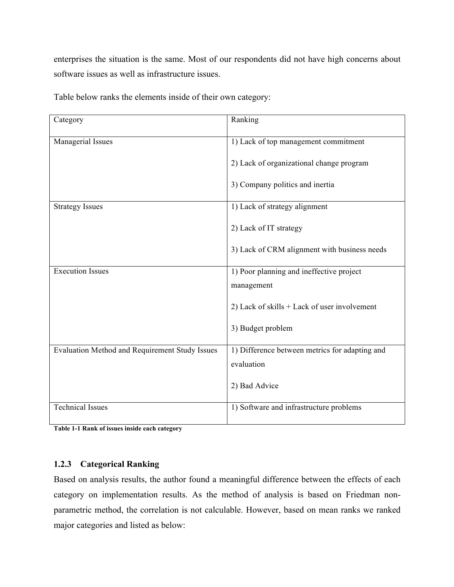enterprises the situation is the same. Most of our respondents did not have high concerns about software issues as well as infrastructure issues.

| Category                                       | Ranking                                                      |
|------------------------------------------------|--------------------------------------------------------------|
| Managerial Issues                              | 1) Lack of top management commitment                         |
|                                                | 2) Lack of organizational change program                     |
|                                                | 3) Company politics and inertia                              |
| <b>Strategy Issues</b>                         | 1) Lack of strategy alignment                                |
|                                                | 2) Lack of IT strategy                                       |
|                                                | 3) Lack of CRM alignment with business needs                 |
| <b>Execution Issues</b>                        | 1) Poor planning and ineffective project                     |
|                                                | management                                                   |
|                                                | 2) Lack of skills + Lack of user involvement                 |
|                                                | 3) Budget problem                                            |
| Evaluation Method and Requirement Study Issues | 1) Difference between metrics for adapting and<br>evaluation |
|                                                |                                                              |
|                                                | 2) Bad Advice                                                |
| <b>Technical Issues</b>                        | 1) Software and infrastructure problems                      |

Table below ranks the elements inside of their own category:

**Table 1-1 Rank of issues inside each category**

## **1.2.3 Categorical Ranking**

Based on analysis results, the author found a meaningful difference between the effects of each category on implementation results. As the method of analysis is based on Friedman nonparametric method, the correlation is not calculable. However, based on mean ranks we ranked major categories and listed as below: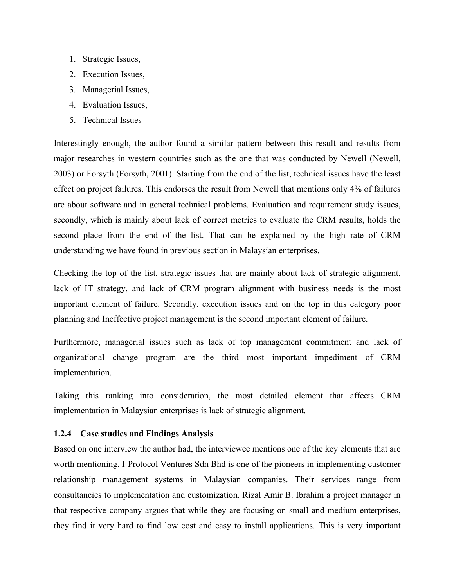- 1. Strategic Issues,
- 2. Execution Issues,
- 3. Managerial Issues,
- 4. Evaluation Issues,
- 5. Technical Issues

Interestingly enough, the author found a similar pattern between this result and results from major researches in western countries such as the one that was conducted by Newell (Newell, 2003) or Forsyth (Forsyth, 2001). Starting from the end of the list, technical issues have the least effect on project failures. This endorses the result from Newell that mentions only 4% of failures are about software and in general technical problems. Evaluation and requirement study issues, secondly, which is mainly about lack of correct metrics to evaluate the CRM results, holds the second place from the end of the list. That can be explained by the high rate of CRM understanding we have found in previous section in Malaysian enterprises.

Checking the top of the list, strategic issues that are mainly about lack of strategic alignment, lack of IT strategy, and lack of CRM program alignment with business needs is the most important element of failure. Secondly, execution issues and on the top in this category poor planning and Ineffective project management is the second important element of failure.

Furthermore, managerial issues such as lack of top management commitment and lack of organizational change program are the third most important impediment of CRM implementation.

Taking this ranking into consideration, the most detailed element that affects CRM implementation in Malaysian enterprises is lack of strategic alignment.

## **1.2.4 Case studies and Findings Analysis**

Based on one interview the author had, the interviewee mentions one of the key elements that are worth mentioning. I-Protocol Ventures Sdn Bhd is one of the pioneers in implementing customer relationship management systems in Malaysian companies. Their services range from consultancies to implementation and customization. Rizal Amir B. Ibrahim a project manager in that respective company argues that while they are focusing on small and medium enterprises, they find it very hard to find low cost and easy to install applications. This is very important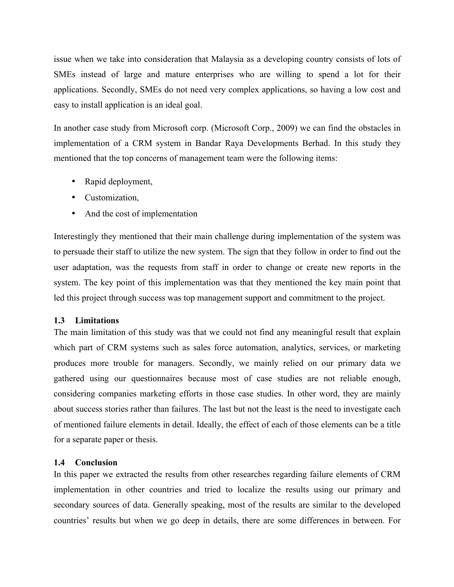issue when we take into consideration that Malaysia as a developing country consists of lots of SMEs instead of large and mature enterprises who are willing to spend a lot for their applications. Secondly, SMEs do not need very complex applications, so having a low cost and easy to install application is an ideal goal.

In another case study from Microsoft corp. (Microsoft Corp., 2009) we can find the obstacles in implementation of a CRM system in Bandar Raya Developments Berhad. In this study they mentioned that the top concerns of management team were the following items:

- Rapid deployment,
- Customization,
- And the cost of implementation

Interestingly they mentioned that their main challenge during implementation of the system was to persuade their staff to utilize the new system. The sign that they follow in order to find out the user adaptation, was the requests from staff in order to change or create new reports in the system. The key point of this implementation was that they mentioned the key main point that led this project through success was top management support and commitment to the project.

## **1.3 Limitations**

The main limitation of this study was that we could not find any meaningful result that explain which part of CRM systems such as sales force automation, analytics, services, or marketing produces more trouble for managers. Secondly, we mainly relied on our primary data we gathered using our questionnaires because most of case studies are not reliable enough, considering companies marketing efforts in those case studies. In other word, they are mainly about success stories rather than failures. The last but not the least is the need to investigate each of mentioned failure elements in detail. Ideally, the effect of each of those elements can be a title for a separate paper or thesis.

## **1.4 Conclusion**

In this paper we extracted the results from other researches regarding failure elements of CRM implementation in other countries and tried to localize the results using our primary and secondary sources of data. Generally speaking, most of the results are similar to the developed countries' results but when we go deep in details, there are some differences in between. For